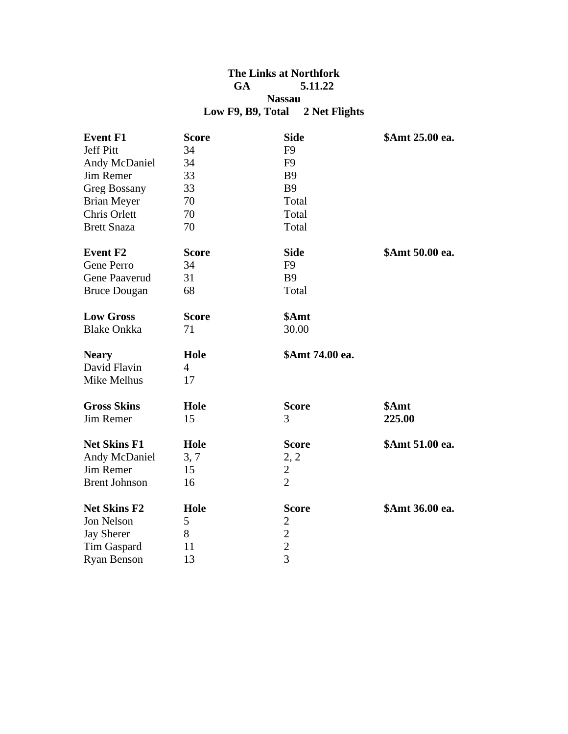## **The Links at Northfork GA 5.11.22 Nassau Low F9, B9, Total 2 Net Flights**

| <b>Event F1</b>      | <b>Score</b>   | <b>Side</b>     | \$Amt 25.00 ea. |
|----------------------|----------------|-----------------|-----------------|
| <b>Jeff Pitt</b>     | 34             | F <sub>9</sub>  |                 |
| Andy McDaniel        | 34             | F <sub>9</sub>  |                 |
| Jim Remer            | 33             | <b>B</b> 9      |                 |
| <b>Greg Bossany</b>  | 33             | <b>B9</b>       |                 |
| <b>Brian Meyer</b>   | 70             | Total           |                 |
| Chris Orlett         | 70             | Total           |                 |
| <b>Brett Snaza</b>   | 70             | Total           |                 |
| <b>Event F2</b>      | <b>Score</b>   | <b>Side</b>     | \$Amt 50.00 ea. |
| Gene Perro           | 34             | F <sub>9</sub>  |                 |
| Gene Paaverud        | 31             | <b>B9</b>       |                 |
| <b>Bruce Dougan</b>  | 68             | Total           |                 |
| <b>Low Gross</b>     | <b>Score</b>   | \$Amt           |                 |
| <b>Blake Onkka</b>   | 71             | 30.00           |                 |
|                      | Hole           | \$Amt 74.00 ea. |                 |
| <b>Neary</b>         |                |                 |                 |
| David Flavin         | $\overline{4}$ |                 |                 |
| Mike Melhus          | 17             |                 |                 |
| <b>Gross Skins</b>   | Hole           | <b>Score</b>    | \$Amt           |
| Jim Remer            | 15             | 3               | 225.00          |
| <b>Net Skins F1</b>  | Hole           | <b>Score</b>    | \$Amt 51.00 ea. |
| Andy McDaniel        | 3, 7           | 2, 2            |                 |
| <b>Jim Remer</b>     | 15             | 2               |                 |
| <b>Brent Johnson</b> | 16             | $\overline{2}$  |                 |
| <b>Net Skins F2</b>  | Hole           | <b>Score</b>    | \$Amt 36.00 ea. |
| Jon Nelson           | 5              | 2               |                 |
| <b>Jay Sherer</b>    | 8              | $\overline{c}$  |                 |
| Tim Gaspard          | 11             | $\frac{2}{3}$   |                 |